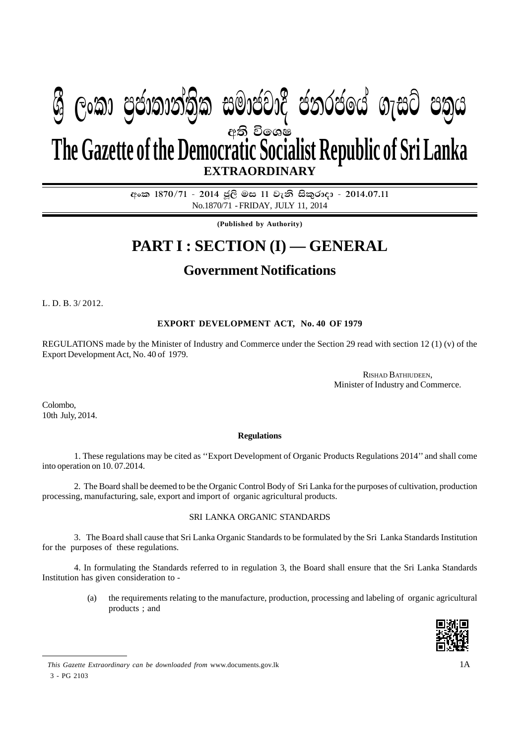# අති විලශෂ **EXTRAORDINARY The Gazette of the Democratic Socialist Republic of Sri Lanka W Geibraid) (2019) and marital condem** algo chin

අංක 1870/71 - 2014 ජූලි මස 11 වැනි සිකුරාදා - 2014.07.11 No.1870/71 - FRIDAY, JULY 11, 2014

**(Published by Authority)**

## **PART I : SECTION (I) — GENERAL**

### **Government Notifications**

L. D. B. 3/ 2012.

#### **EXPORT DEVELOPMENT ACT, No. 40 OF 1979**

REGULATIONS made by the Minister of Industry and Commerce under the Section 29 read with section 12 (1) (v) of the Export Development Act, No. 40 of 1979.

> RISHAD BATHIUDEEN, Minister of Industry and Commerce.

Colombo, 10th July, 2014.

#### **Regulations**

1. These regulations may be cited as ''Export Development of Organic Products Regulations 2014'' and shall come into operation on 10. 07.2014.

2. The Board shall be deemed to be the Organic Control Body of Sri Lanka for the purposes of cultivation, production processing, manufacturing, sale, export and import of organic agricultural products.

#### SRI LANKA ORGANIC STANDARDS

3. The Boa rd shall cause that Sri Lanka Organic Standards to be formulated by the Sri Lanka Standards Institution for the purposes of these regulations.

4. In formulating the Standards referred to in regulation 3, the Board shall ensure that the Sri Lanka Standards Institution has given consideration to -

> (a) the requirements relating to the manufacture, production, processing and labeling of organic agricultural products ; and



*This Gazette Extraordinary can be downloaded from* www.documents.gov.lk 3 - PG 2103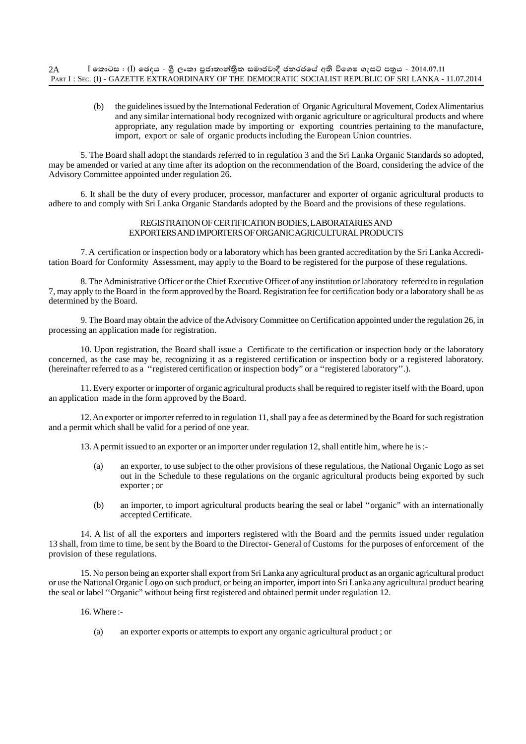(b) the guidelines issued by the International Federation of Organic Agricultural Movement, Codex Alimentarius and any similar international body recognized with organic agriculture or agricultural products and where appropriate, any regulation made by importing or exporting countries pertaining to the manufacture, import, export or sale of organic products including the European Union countries.

5. The Board shall adopt the standards referred to in regulation 3 and the Sri Lanka Organic Standards so adopted, may be amended or varied at any time after its adoption on the recommendation of the Board, considering the advice of the Advisory Committee appointed under regulation 26.

6. It shall be the duty of every producer, processor, manfacturer and exporter of organic agricultural products to adhere to and comply with Sri Lanka Organic Standards adopted by the Board and the provisions of these regulations.

#### REGISTRATION OF CERTIFICATION BODIES, LABORATARIES AND EXPORTERS AND IMPORTERS OF ORGANIC AGRICULTURAL PRODUCTS

7. A certification or inspection body or a laboratory which has been granted accreditation by the Sri Lanka Accreditation Board for Conformity Assessment, may apply to the Board to be registered for the purpose of these regulations.

8. The Administrative Officer or the Chief Executive Officer of any institution or laboratory referred to in regulation 7, may apply to the Board in the form approved by the Board. Registration fee for certification body or a laboratory shall be as determined by the Board.

9. The Board may obtain the advice of the Advisory Committee on Certification appointed under the regulation 26, in processing an application made for registration.

10. Upon registration, the Board shall issue a Certificate to the certification or inspection body or the laboratory concerned, as the case may be, recognizing it as a registered certification or inspection body or a registered laboratory. (hereinafter referred to as a ''registered certification or inspection body" or a ''registered laboratory''.).

11. Every exporter or importer of organic agricultural products shall be required to register itself with the Board, upon an application made in the form approved by the Board.

12. An exporter or importer referred to in regulation 11, shall pay a fee as determined by the Board for such registration and a permit which shall be valid for a period of one year.

13. A permit issued to an exporter or an importer under regulation 12, shall entitle him, where he is :-

- (a) an exporter, to use subject to the other provisions of these regulations, the National Organic Logo as set out in the Schedule to these regulations on the organic agricultural products being exported by such exporter ; or
- (b) an importer, to import agricultural products bearing the seal or label ''organic" with an internationally accepted Certificate.

14. A list of all the exporters and importers registered with the Board and the permits issued under regulation 13 shall, from time to time, be sent by the Board to the Director- General of Customs for the purposes of enforcement of the provision of these regulations.

15. No person being an exporter shall export from Sri Lanka any agricultural product as an organic agricultural product or use the National Organic Logo on such product, or being an importer, import into Sri Lanka any agricultural product bearing the seal or label ''Organic" without being first registered and obtained permit under regulation 12.

16. Where :-

(a) an exporter exports or attempts to export any organic agricultural product ; or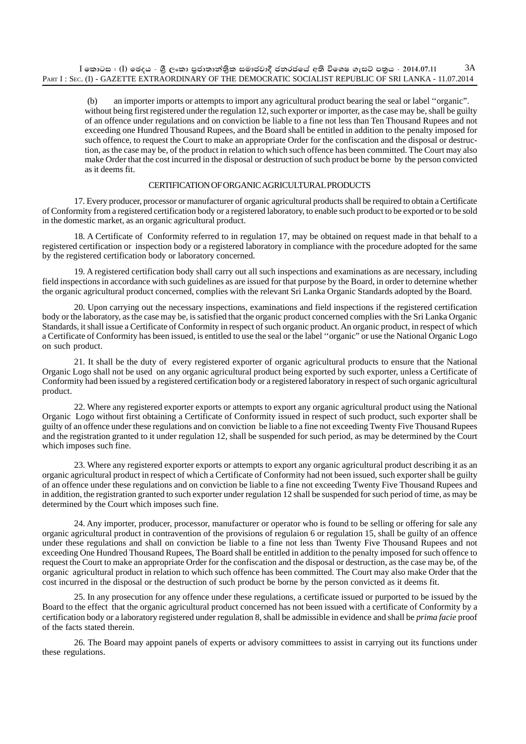(b) an importer imports or attempts to import any agricultural product bearing the seal or label ''organic". without being first registered under the regulation 12, such exporter or importer, as the case may be, shall be guilty of an offence under regulations and on conviction be liable to a fine not less than Ten Thousand Rupees and not exceeding one Hundred Thousand Rupees, and the Board shall be entitled in addition to the penalty imposed for such offence, to request the Court to make an appropriate Order for the confiscation and the disposal or destruction, as the case may be, of the product in relation to which such offence has been committed. The Court may also make Order that the cost incurred in the disposal or destruction of such product be borne by the person convicted as it deems fit.

#### CERTIFICATION OF ORGANIC AGRICULTURAL PRODUCTS

17. Every producer, processor or manufacturer of organic agricultural products shall be required to obtain a Certificate of Conformity from a registered certification body or a registered laboratory, to enable such product to be exported or to be sold in the domestic market, as an organic agricultural product.

18. A Certificate of Conformity referred to in regulation 17, may be obtained on request made in that behalf to a registered certification or inspection body or a registered laboratory in compliance with the procedure adopted for the same by the registered certification body or laboratory concerned.

19. A registered certification body shall carry out all such inspections and examinations as are necessary, including field inspections in accordance with such guidelines as are issued for that purpose by the Board, in order to deternine whether the organic agricultural product concerned, complies with the relevant Sri Lanka Organic Standards adopted by the Board.

20. Upon carrying out the necessary inspections, examinations and field inspections if the registered certification body or the laboratory, as the case may be, is satisfied that the organic product concerned complies with the Sri Lanka Organic Standards, it shall issue a Certificate of Conformity in respect of such organic product. An organic product, in respect of which a Certificate of Conformity has been issued, is entitled to use the seal or the label ''organic" or use the National Organic Logo on such product.

21. It shall be the duty of every registered exporter of organic agricultural products to ensure that the National Organic Logo shall not be used on any organic agricultural product being exported by such exporter, unless a Certificate of Conformity had been issued by a registered certification body or a registered laboratory in respect of such organic agricultural product.

22. Where any registered exporter exports or attempts to export any organic agricultural product using the National Organic Logo without first obtaining a Certificate of Conformity issued in respect of such product, such exporter shall be guilty of an offence under these regulations and on conviction be liable to a fine not exceeding Twenty Five Thousand Rupees and the registration granted to it under regulation 12, shall be suspended for such period, as may be determined by the Court which imposes such fine.

23. Where any registered exporter exports or attempts to export any organic agricultural product describing it as an organic agricultural product in respect of which a Certificate of Conformity had not been issued, such exporter shall be guilty of an offence under these regulations and on conviction be liable to a fine not exceeding Twenty Five Thousand Rupees and in addition, the registration granted to such exporter under regulation 12 shall be suspended for such period of time, as may be determined by the Court which imposes such fine.

24. Any importer, producer, processor, manufacturer or operator who is found to be selling or offering for sale any organic agricultural product in contravention of the provisions of regulaion 6 or regulation 15, shall be guilty of an offence under these regulations and shall on conviction be liable to a fine not less than Twenty Five Thousand Rupees and not exceeding One Hundred Thousand Rupees, The Board shall be entitled in addition to the penalty imposed for such offence to request the Court to make an appropriate Order for the confiscation and the disposal or destruction, as the case may be, of the organic agricultural product in relation to which such offence has been committed. The Court may also make Order that the cost incurred in the disposal or the destruction of such product be borne by the person convicted as it deems fit.

25. In any prosecution for any offence under these regulations, a certificate issued or purported to be issued by the Board to the effect that the organic agricultural product concerned has not been issued with a certificate of Conformity by a certification body or a laboratory registered under regulation 8, shall be admissible in evidence and shall be *prima facie* proof of the facts stated therein.

26. The Board may appoint panels of experts or advisory committees to assist in carrying out its functions under these regulations.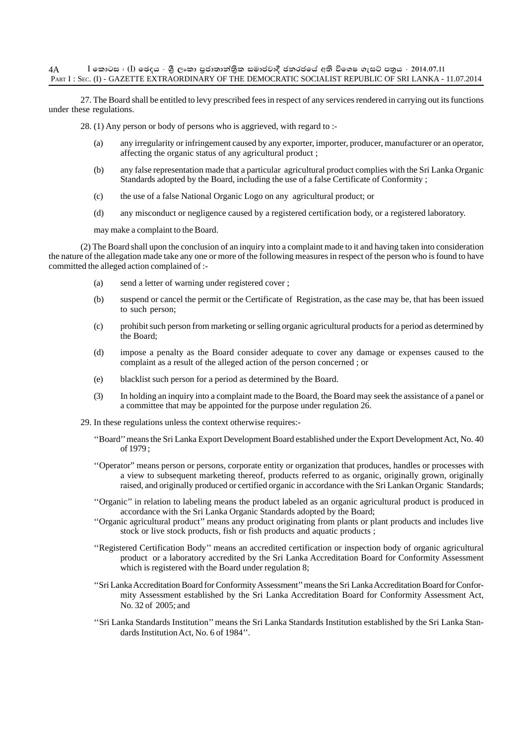27. The Board shall be entitled to levy prescribed fees in respect of any services rendered in carrying out its functions under these regulations.

28. (1) Any person or body of persons who is aggrieved, with regard to :-

- (a) any irregularity or infringement caused by any exporter, importer, producer, manufacturer or an operator, affecting the organic status of any agricultural product ;
- (b) any false representation made that a particular agricultural product complies with the Sri Lanka Organic Standards adopted by the Board, including the use of a false Certificate of Conformity ;
- (c) the use of a false National Organic Logo on any agricultural product; or
- (d) any misconduct or negligence caused by a registered certification body, or a registered laboratory.

may make a complaint to the Board.

(2) The Board shall upon the conclusion of an inquiry into a complaint made to it and having taken into consideration the nature of the allegation made take any one or more of the following measures in respect of the person who is found to have committed the alleged action complained of :-

- (a) send a letter of warning under registered cover ;
- (b) suspend or cancel the permit or the Certificate of Registration, as the case may be, that has been issued to such person;
- (c) prohibit such person from marketing or selling organic agricultural products for a period as determined by  $the$  Board:
- (d) impose a penalty as the Board consider adequate to cover any damage or expenses caused to the complaint as a result of the alleged action of the person concerned ; or
- (e) blacklist such person for a period as determined by the Board.
- (3) In holding an inquiry into a complaint made to the Board, the Board may seek the assistance of a panel or a committee that may be appointed for the purpose under regulation 26.
- 29. In these regulations unless the context otherwise requires:-
	- ''Board'' means the Sri Lanka Export Development Board established under the Export Development Act, No. 40 of 1979 ;
	- ''Operator" means person or persons, corporate entity or organization that produces, handles or processes with a view to subsequent marketing thereof, products referred to as organic, originally grown, originally raised, and originally produced or certified organic in accordance with the Sri Lankan Organic Standards;
	- ''Organic'' in relation to labeling means the product labeled as an organic agricultural product is produced in accordance with the Sri Lanka Organic Standards adopted by the Board;
	- ''Organic agricultural product'' means any product originating from plants or plant products and includes live stock or live stock products, fish or fish products and aquatic products ;
	- ''Registered Certification Body'' means an accredited certification or inspection body of organic agricultural product or a laboratory accredited by the Sri Lanka Accreditation Board for Conformity Assessment which is registered with the Board under regulation 8;
	- ''Sri Lanka Accreditation Board for Conformity Assessment'' means the Sri Lanka Accreditation Board for Conformity Assessment established by the Sri Lanka Accreditation Board for Conformity Assessment Act, No. 32 of 2005; and
	- ''Sri Lanka Standards Institution'' means the Sri Lanka Standards Institution established by the Sri Lanka Standards Institution Act, No. 6 of 1984''.